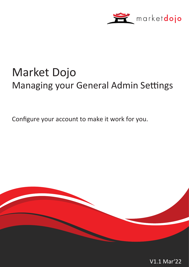

# Market Dojo Managing your General Admin Settings

Configure your account to make it work for you.



V1.1 Mar'22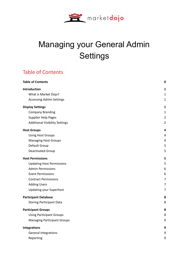

## Managing your General Admin **Settings**

## <span id="page-1-0"></span>Table of Contents

| <b>Table of Contents</b>              | $\mathbf 0$    |
|---------------------------------------|----------------|
| Introduction                          | 1              |
| What is Market Dojo?                  | 1              |
| <b>Accessing Admin Settings</b>       | $\mathbf{1}$   |
| <b>Display Settings</b>               | 1              |
| <b>Company Branding</b>               | $\mathbf{1}$   |
| Supplier Help Pages                   | $\overline{2}$ |
| <b>Additional Visibility Settings</b> | $\overline{2}$ |
| <b>Host Groups</b>                    | 4              |
| <b>Using Host Groups</b>              | 4              |
| <b>Managing Host Groups</b>           | 4              |
| Default Group                         | 5              |
| Deactivated Group                     | 5              |
| <b>Host Permissions</b>               | 5              |
| <b>Updating Host Permissions</b>      | 5              |
| <b>Admin Permissions</b>              | 6              |
| <b>Event Permissions</b>              | 6              |
| <b>Contract Permissions</b>           | $\overline{7}$ |
| <b>Adding Users</b>                   | $\overline{7}$ |
| <b>Updating your Superhost</b>        | 7              |
| <b>Participant Database</b>           | 8              |
| <b>Storing Participant Data</b>       | 8              |
| <b>Participant Groups</b>             | 8              |
| <b>Using Participant Groups</b>       | 8              |
| <b>Managing Participant Groups</b>    | 9              |
| <b>Integrations</b>                   | 9              |
| <b>General Integrations</b>           | 9              |
| Reporting                             | 9              |
|                                       |                |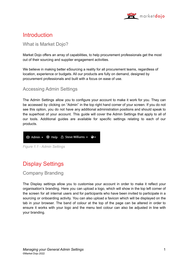

## <span id="page-2-0"></span>**Introduction**

#### <span id="page-2-1"></span>What is Market Dojo?

Market Dojo offers an array of capabilities, to help procurement professionals get the most out of their sourcing and supplier engagement activities.

We believe in making better eSourcing a reality for all procurement teams, regardless of location, experience or budgets. All our products are fully on demand, designed by procurement professionals and built with a focus on ease of use.

#### <span id="page-2-2"></span>Accessing Admin Settings

The Admin Settings allow you to configure your account to make it work for you. They can be accessed by clicking on "Admin" in the top right hand corner of your screen. If you do not see this option, you do not have any additional administration positions and should speak to the superhost of your account. This guide will cover the Admin Settings that apply to all of our tools. Additional guides are available for specific settings relating to each of our products.

New Admin > ® Help A Steve Williams > ●

## <span id="page-2-3"></span>Display Settings

#### <span id="page-2-4"></span>Company Branding

The Display settings allow you to customise your account in order to make it reflect your organisation's branding. Here you can upload a logo, which will show in the top left corner of the screen for all internal users and for participants who have been invited to participate in a sourcing or onboarding activity. You can also upload a favicon which will be displayed on the tab in your browser. The band of colour at the top of the page can be altered in order to ensure it works with your logo and the menu text colour can also be adjusted in line with your branding.

*Figure 1.1 - Admin Settings*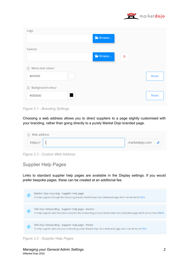

| Logo                        |         |   |       |
|-----------------------------|---------|---|-------|
|                             | FBrowse |   |       |
| Favicon                     |         |   |       |
|                             | FBrowse | 勔 |       |
| Menu text colour<br>$\odot$ |         |   |       |
| #FFFFFF                     |         |   | Reset |
|                             |         |   |       |
| 1 Background colour         |         |   |       |

*Figure 2.1 - Branding Settings*

Choosing a web address allows you to direct suppliers to a page slightly customised with your branding, rather than going directly to a purely Market Dojo branded page.

| (i) Web address |                               |  |
|-----------------|-------------------------------|--|
| https://        | .marketdojo.com $\rightarrow$ |  |

*Figure 2.3 - Custom Web Address*

#### <span id="page-3-0"></span>Supplier Help Pages

Links to standard supplier help pages are available in the Display settings. If you would prefer bespoke pages, these can be created at an additional fee.

|  | Market Dojo Sourcing - Supplier help page<br>To help suppliers through the eSourcing process, Market Dojo has a dedicated page which can be found here.                            |
|--|------------------------------------------------------------------------------------------------------------------------------------------------------------------------------------|
|  |                                                                                                                                                                                    |
|  | SIM Dojo Onboarding - Supplier help page - Invited<br>To help suppliers who have been invited to the onboarding process, Market Dojo has a dedicated page which can be found here. |
|  |                                                                                                                                                                                    |
|  | SIM Dojo Onboarding - Supplier help page - Portal<br>To help suppliers who use your onboarding portal, Market Dojo has a dedicated page which can be found here.                   |

*Figure 2.2 - Supplier Help Pages*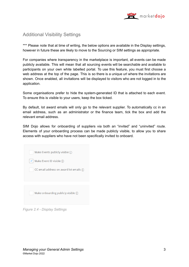

#### <span id="page-4-0"></span>Additional Visibility Settings

\*\*\* Please note that at time of writing, the below options are available in the Display settings, however in future these are likely to move to the Sourcing or SIM settings as appropriate.

For companies where transparency in the marketplace is important, all events can be made publicly available. This will mean that all sourcing events will be searchable and available to participants on your own white labelled portal. To use this feature, you must first choose a web address at the top of the page. This is so there is a unique url where the invitations are shown. Once enabled, all invitations will be displayed to visitors who are not logged in to the application.

Some organisations prefer to hide the system-generated ID that is attached to each event. To ensure this is visible to your users, keep the box ticked.

By default, lot award emails will only go to the relevant supplier. To automatically cc in an email address, such as an administrator or the finance team, tick the box and add the relevant email address.

SIM Dojo allows for onboarding of suppliers via both an "invited" and "uninvited" route. Elements of your onboarding process can be made publicly visible, to allow you to share access with suppliers who have not been specifically invited to onboard.

| Make Events publicly visible $\Omega$      |
|--------------------------------------------|
| Make Event ID visible $(i)$                |
| CC email address on award lot emails $(i)$ |
|                                            |
|                                            |
| Make onboarding publicly visible $(i)$     |
|                                            |

*Figure 2.4 - Display Settings*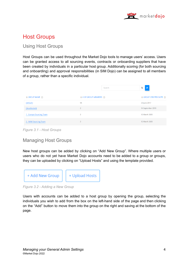

## <span id="page-5-0"></span>Host Groups

#### <span id="page-5-1"></span>Using Host Groups

Host Groups can be used throughout the Market Dojo tools to manage users' access. Users can be granted access to all sourcing events, contracts or onboarding suppliers that have been created by individuals in a particular host group. Additionally scoring (for both sourcing and onboarding) and approval responsibilities (in SIM Dojo) can be assigned to all members of a group, rather than a specific individual.

|                                         |                                                     | Search | $\mathbf{c}$<br>Q                               |
|-----------------------------------------|-----------------------------------------------------|--------|-------------------------------------------------|
| $\Rightarrow$ GROUP NAME $\circledcirc$ | $\Leftrightarrow$ # OF GROUP MEMBERS $\circledcirc$ |        | $\Rightarrow$ GROUP CREATED DATE $\circledcirc$ |
| (default)                               | 55                                                  |        | 23 June 2017                                    |
| (deactivated)                           | $\overline{2}$                                      |        | 14 September 2019                               |
| 1 - Europe Sourcing Team                | $\overline{2}$                                      |        | 12 March 2020                                   |
| 2 - NAM Sourcing Team                   | $\overline{2}$                                      |        | 12 March 2020                                   |

*Figure 3.1 - Host Groups*

#### <span id="page-5-2"></span>Managing Host Groups

New host groups can be added by clicking on "Add New Group". Where multiple users or users who do not yet have Market Dojo accounts need to be added to a group or groups, they can be uploaded by clicking on "Upload Hosts" and using the template provided.



*Figure 3.2 - Adding a New Group*

Users with accounts can be added to a host group by opening the group, selecting the individuals you wish to add from the box on the left-hand side of the page and then clicking on the "Add" button to move them into the group on the right and saving at the bottom of the page.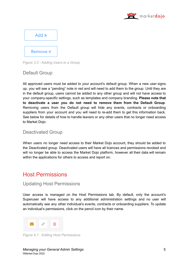



*Figure 3.3 - Adding Users to a Group*

#### <span id="page-6-0"></span>Default Group

All approved users must be added to your account's default group. When a new user signs up, you will see a "pending" note in red and will need to add them to the group. Until they are in the default group, users cannot be added to any other group and will not have access to your company-specific settings, such as templates and company branding. **Please note that to deactivate a user you do not need to remove them from the Default Group**. Removing users from the Default group will hide any events, contracts or onboarding suppliers from your account and you will need to re-add them to get this information back. See below for details of how to handle leavers or any other users that no longer need access to Market Dojo.

#### <span id="page-6-1"></span>Deactivated Group

When users no longer need access to their Market Dojo account, they should be added to the Deactivated group. Deactivated users will have all licences and permissions revoked and will no longer be able to access the Market Dojo platform, however all their data will remain within the applications for others to access and report on.

## <span id="page-6-2"></span>Host Permissions

#### <span id="page-6-3"></span>Updating Host Permissions

User access is managed on the Host Permissions tab. By default, only the account's Superuser will have access to any additional administration settings and no user will automatically see any other individual's events, contracts or onboarding suppliers. To update an individual's permissions, click on the pencil icon by their name.



*Figure 4.1 - Editing Host Permissions*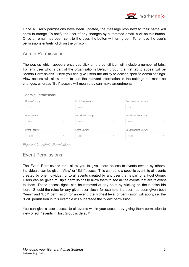

Once a user's permissions have been updated, the message icon next to their name will show in orange. To notify the user of any changes by automated email, click on this button. Once an email has been sent to the user, the button will turn green. To remove the user's permissions entirely, click on the bin icon.

#### <span id="page-7-0"></span>Admin Permissions

The pop-up which appears once you click on the pencil icon will include a number of tabs. For any user who is part of the organisation's Default group, the first tab to appear will be "Admin Permissions". Here you can give users the ability to access specific Admin settings. View access will allow them to see the relevant information in the settings but make no changes, whereas "Edit" access will mean they can make amendments.

#### **Admin Permissions**

| <b>Display Settings</b>  | <b>Host Permissions</b>  | Own event permissions    |
|--------------------------|--------------------------|--------------------------|
| Edit                     | None                     | Edit                     |
| $\overline{\phantom{a}}$ | $\overline{\phantom{a}}$ | $\overline{\phantom{a}}$ |
| <b>Host Groups</b>       | Participant Groups       | Participant Database     |
| None                     | None                     | None                     |
| $\overline{\phantom{a}}$ | $\overline{\phantom{a}}$ | $\;$                     |
| Event Tagging            | Event Library            | Questionnaire Library    |
| None                     | Edit                     | None                     |
| $\;$                     | $\overline{\phantom{a}}$ | $\overline{\phantom{a}}$ |

*Figure 4.2 - Admin Permissions*

#### <span id="page-7-1"></span>Event Permissions

The Event Permissions tabs allow you to give users access to events owned by others. Individuals can be given "View" or "Edit" access. This can be to a specific event, to all events created by one individual, or to all events created by any user that is part of a Host Group. Users can be given multiple permissions to allow them to see all the events that are relevant to them. These access rights can be removed at any point by clicking on the rubbish bin icon. Should the rules for any given user clash, for example if a user has been given both "View" and "Edit" permission for an event, the highest level of permission will apply, i.e. the "Edit" permission in this example will supersede the "View" permission.

You can give a user access to all events within your account by giving them permission to view or edit "events if Host Group is default".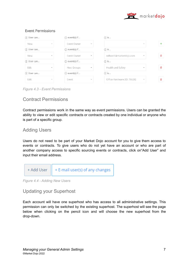

| (i) User can |                          | $(i)$ event(s) if  |                          | $(i)$ is                    |                          |     |
|--------------|--------------------------|--------------------|--------------------------|-----------------------------|--------------------------|-----|
| View         | $\;$                     | Event Owner        | $\overline{\phantom{a}}$ |                             | $\overline{\phantom{a}}$ |     |
| (i) User can |                          | $(i)$ event(s) if  |                          | $(i)$ is                    |                          |     |
| View         | $\overline{\phantom{a}}$ | Event Owner        | $\overline{\phantom{a}}$ | ndhost1@marketdojo.com      | $\overline{\phantom{a}}$ | 侖   |
| (i) User can |                          | $(i)$ event(s) if  |                          | $(i)$ is                    |                          |     |
| Edit         | $\overline{\phantom{a}}$ | <b>Host Groups</b> | $\overline{\phantom{a}}$ | Health and Safety           | $\overline{\phantom{a}}$ | ाती |
| (i) User can |                          | $(i)$ event(s) if  |                          | $(i)$ is                    |                          |     |
| Edit         | $\overline{\phantom{a}}$ | Event              | $\overline{\phantom{a}}$ | Office Hardware (ID: 76628) | $\overline{\phantom{a}}$ | 侖   |

**Event Permissions** 

*Figure 4.3 - Event Permissions*

#### <span id="page-8-0"></span>Contract Permissions

Contract permissions work in the same way as event permissions. Users can be granted the ability to view or edit specific contracts or contracts created by one individual or anyone who is part of a specific group.

#### <span id="page-8-1"></span>Adding Users

Users do not need to be part of your Market Dojo account for you to give them access to events or contracts. To give users who do not yet have an account or who are part of another company access to specific sourcing events or contracts, click on"Add User" and input their email address.



*Figure 4.4 - Adding New Users*

#### <span id="page-8-2"></span>Updating your Superhost

Each account will have one superhost who has access to all administrative settings. This permission can only be switched by the existing superhost. The superhost will see the page below when clicking on the pencil icon and will choose the new superhost from the drop-down.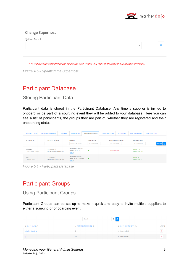

#### **Change Superhost**

| (i) User E-mail |  |  |  |
|-----------------|--|--|--|
|                 |  |  |  |
|                 |  |  |  |

*Figure 4.5 - Updating the Superhost*

## <span id="page-9-0"></span>Participant Database

<span id="page-9-1"></span>Storing Participant Data

Participant data is stored in the Participant Database. Any time a supplier is invited to onboard or be part of a sourcing event they will be added to your database. Here you can see a list of participants, the groups they are part of, whether they are registered and their onboarding status.

| <b>Document Library</b>                     | Questionnaire Library                     | <b>Lot Library</b> | <b>Event Library</b>                                        | <b>Participant Database</b>          | <b>Participant Groups</b>                   | <b>Host Groups</b> | <b>Host Permissions</b>                 | <b>Sourcing Settings</b> |                           |
|---------------------------------------------|-------------------------------------------|--------------------|-------------------------------------------------------------|--------------------------------------|---------------------------------------------|--------------------|-----------------------------------------|--------------------------|---------------------------|
| PARTICIPANT                                 | <b>CONTACT DETAILS</b>                    |                    | <b>GROUPS</b><br>Water Bottle Suppl                         | <b>REGISTERED</b><br>None Selected - | <b>ONBOARDING STATUS</b><br>None Selected - |                    | <b>EVENT HISTORY</b><br>None Selected - |                          | Search $ \boldsymbol{x} $ |
| Md Part 1<br><b>Civils Supplier Limited</b> | 0233 65869 87<br>mdpart1@marketdojo.com   |                    | (default), Maintenance,<br>Generic Drugs, IT<br>(More)      | $\checkmark$                         | Declined invite                             |                    | Invited: 211<br>Participated: 161       |                          |                           |
| Md <sub>3</sub><br>  Hawk & Sons            | 0123 458 588<br>ndparticipant3@marketdojo |                    | (default), Marketing -<br>LATM, Laptop Suppliers,<br>(More) | $\checkmark$                         |                                             |                    | Invited: 36<br>Participated: 21         |                          |                           |

*Figure 5.1 - Participant Database*

## <span id="page-9-2"></span>Participant Groups

<span id="page-9-3"></span>Using Participant Groups

Participant Groups can be set up to make it quick and easy to invite multiple suppliers to either a sourcing or onboarding event.

|                                       | Search                                       | $Q \mid C$                                 |                |
|---------------------------------------|----------------------------------------------|--------------------------------------------|----------------|
| $\triangle$ GROUP NAME $\circledcirc$ | $\Rightarrow$ # OF GROUP MEMBERS $\circledR$ | $\triangle$ GROUP CREATED DATE $\circledR$ | <b>ACTION</b>  |
| <b>Injection Moulding</b>             | 6                                            | 02 November 2018                           | $\blacksquare$ |
| $\mathsf{I}$                          | 18                                           | 03 November 2017                           | 會              |